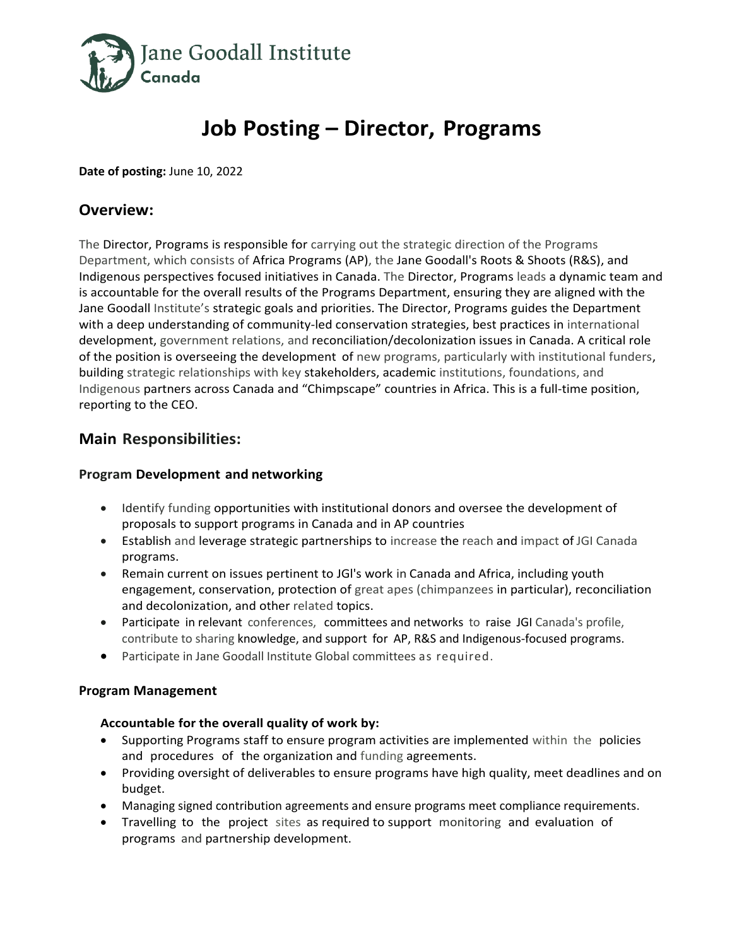

# **Job Posting – Director, Programs**

**Date of posting:** June 10, 2022

## **Overview:**

The Director, Programs is responsible for carrying out the strategic direction of the Programs Department, which consists of Africa Programs (AP), the Jane Goodall's Roots & Shoots (R&S), and Indigenous perspectives focused initiatives in Canada. The Director, Programs leads a dynamic team and is accountable for the overall results of the Programs Department, ensuring they are aligned with the Jane Goodall Institute's strategic goals and priorities. The Director, Programs guides the Department with a deep understanding of community-led conservation strategies, best practices in international development, government relations, and reconciliation/decolonization issues in Canada. A critical role of the position is overseeing the development of new programs, particularly with institutional funders, building strategic relationships with key stakeholders, academic institutions, foundations, and Indigenous partners across Canada and "Chimpscape" countries in Africa. This is a full-time position, reporting to the CEO.

# **Main Responsibilities:**

## **Program Development and networking**

- Identify funding opportunities with institutional donors and oversee the development of proposals to support programs in Canada and in AP countries
- Establish and leverage strategic partnerships to increase the reach and impact of JGI Canada programs.
- Remain current on issues pertinent to JGl's work in Canada and Africa, including youth engagement, conservation, protection of great apes (chimpanzees in particular), reconciliation and decolonization, and other related topics.
- Participate in relevant conferences, committees and networks to raise JGI Canada's profile, contribute to sharing knowledge, and support for AP, R&S and Indigenous-focused programs.
- Participate in Jane Goodall Institute Global committees as required.

## **Program Management**

#### **Accountable for the overall quality of work by:**

- Supporting Programs staff to ensure program activities are implemented within the policies and procedures of the organization and funding agreements.
- Providing oversight of deliverables to ensure programs have high quality, meet deadlines and on budget.
- Managing signed contribution agreements and ensure programs meet compliance requirements.
- Travelling to the project sites as required to support monitoring and evaluation of programs and partnership development.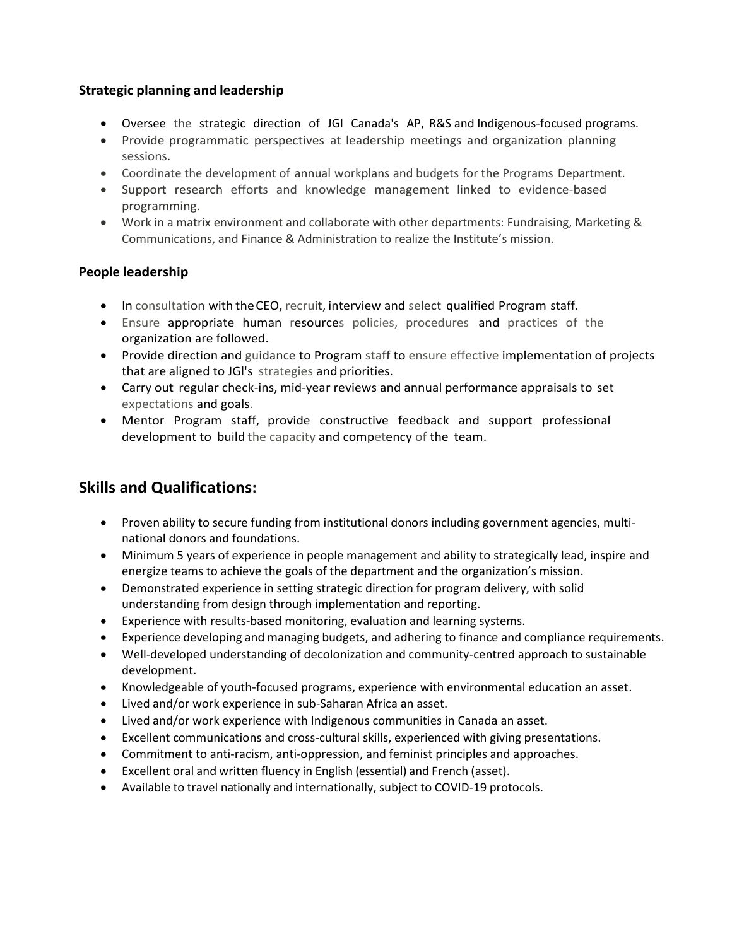## **Strategic planning and leadership**

- Oversee the strategic direction of JGI Canada's AP, R&S and Indigenous-focused programs.
- Provide programmatic perspectives at leadership meetings and organization planning sessions.
- Coordinate the development of annual workplans and budgets for the Programs Department.
- Support research efforts and knowledge management linked to evidence-based programming.
- Work in a matrix environment and collaborate with other departments: Fundraising, Marketing & Communications, and Finance & Administration to realize the Institute's mission.

## **People leadership**

- In consultation with theCEO, recruit, interview and select qualified Program staff.
- Ensure appropriate human resources policies, procedures and practices of the organization are followed.
- Provide direction and guidance to Program staff to ensure effective implementation of projects that are aligned to JGl's strategies and priorities.
- Carry out regular check-ins, mid-year reviews and annual performance appraisals to set expectations and goals.
- Mentor Program staff, provide constructive feedback and support professional development to build the capacity and competency of the team.

# **Skills and Qualifications:**

- Proven ability to secure funding from institutional donors including government agencies, multinational donors and foundations.
- Minimum 5 years of experience in people management and ability to strategically lead, inspire and energize teams to achieve the goals of the department and the organization's mission.
- Demonstrated experience in setting strategic direction for program delivery, with solid understanding from design through implementation and reporting.
- Experience with results-based monitoring, evaluation and learning systems.
- Experience developing and managing budgets, and adhering to finance and compliance requirements.
- Well-developed understanding of decolonization and community-centred approach to sustainable development.
- Knowledgeable of youth-focused programs, experience with environmental education an asset.
- Lived and/or work experience in sub-Saharan Africa an asset.
- Lived and/or work experience with Indigenous communities in Canada an asset.
- Excellent communications and cross-cultural skills, experienced with giving presentations.
- Commitment to anti-racism, anti-oppression, and feminist principles and approaches.
- Excellent oral and written fluency in English (essential) and French (asset).
- Available to travel nationally and internationally, subject to COVID-19 protocols.